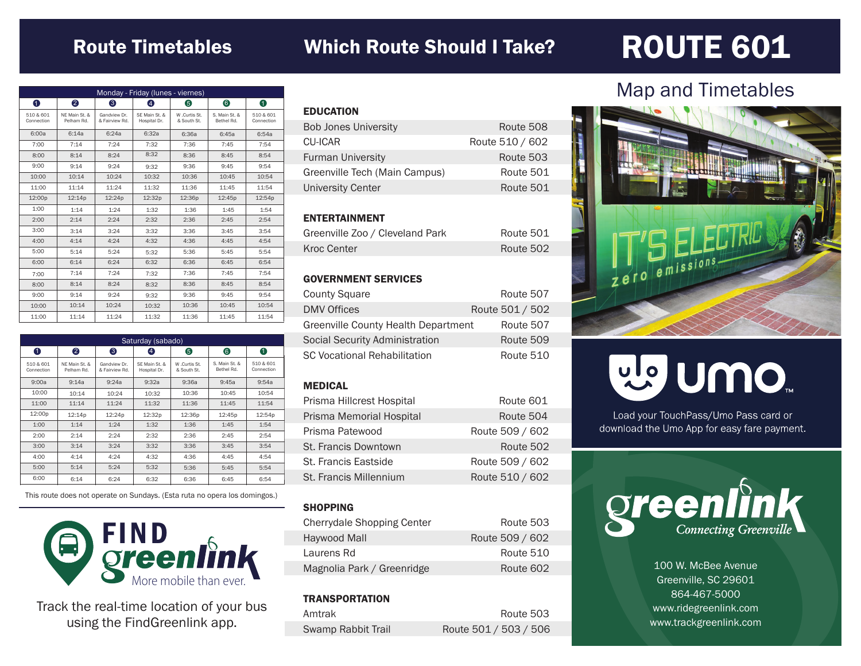## Route Timetables

## Which Route Should I Take? ROUTE 601

| Monday - Friday (lunes - viernes) |                             |                                |                               |                              |                             |                         |
|-----------------------------------|-----------------------------|--------------------------------|-------------------------------|------------------------------|-----------------------------|-------------------------|
| $\bullet$                         | 2                           | ❸                              | Φ                             | 6                            | 6                           | 0                       |
| 510 & 601<br>Connection           | NE Main St. &<br>Pelham Rd. | Gandview Dr.<br>& Fairview Rd. | SE Main St. &<br>Hospital Dr. | W .Curtis St.<br>& South St. | S. Main St. &<br>Bethel Rd. | 510 & 601<br>Connection |
| 6:00a                             | 6:14a                       | 6:24a                          | 6:32a                         | 6:36a                        | 6:45a                       | 6:54a                   |
| 7:00                              | 7:14                        | 7:24                           | 7:32                          | 7:36                         | 7:45                        | 7:54                    |
| 8:00                              | 8:14                        | 8:24                           | 8:32                          | 8:36                         | 8:45                        | 8:54                    |
| 9:00                              | 9:14                        | 9:24                           | 9:32                          | 9:36                         | 9:45                        | 9:54                    |
| 10:00                             | 10:14                       | 10:24                          | 10:32                         | 10:36                        | 10:45                       | 10:54                   |
| 11:00                             | 11:14                       | 11:24                          | 11:32                         | 11:36                        | 11:45                       | 11:54                   |
| 12:00p                            | 12:14p                      | 12:24p                         | 12:32p                        | 12:36p                       | 12:45p                      | 12:54p                  |
| 1:00                              | 1:14                        | 1:24                           | 1:32                          | 1:36                         | 1:45                        | 1:54                    |
| 2:00                              | 2:14                        | 2:24                           | 2:32                          | 2:36                         | 2:45                        | 2:54                    |
| 3:00                              | 3:14                        | 3:24                           | 3:32                          | 3:36                         | 3:45                        | 3:54                    |
| 4:00                              | 4:14                        | 4:24                           | 4:32                          | 4:36                         | 4:45                        | 4:54                    |
| 5:00                              | 5:14                        | 5:24                           | 5:32                          | 5:36                         | 5:45                        | 5:54                    |
| 6:00                              | 6:14                        | 6:24                           | 6:32                          | 6:36                         | 6:45                        | 6:54                    |
| 7:00                              | 7:14                        | 7:24                           | 7:32                          | 7:36                         | 7:45                        | 7:54                    |
| 8:00                              | 8:14                        | 8:24                           | 8:32                          | 8:36                         | 8:45                        | 8:54                    |
| 9:00                              | 9:14                        | 9:24                           | 9:32                          | 9:36                         | 9:45                        | 9:54                    |
| 10:00                             | 10:14                       | 10:24                          | 10:32                         | 10:36                        | 10:45                       | 10:54                   |
| 11:00                             | 11:14                       | 11:24                          | 11:32                         | 11:36                        | 11:45                       | 11:54                   |

| Saturday (sabado)       |                             |                                |                               |                             |                             |                         |
|-------------------------|-----------------------------|--------------------------------|-------------------------------|-----------------------------|-----------------------------|-------------------------|
| 0                       | 2                           | 3                              | 4                             | 6                           | 6                           | 0                       |
| 510 & 601<br>Connection | NF Main St. &<br>Pelham Rd. | Gandview Dr.<br>& Fairview Rd. | SF Main St. &<br>Hospital Dr. | W.Curtis St.<br>& South St. | S. Main St. &<br>Bethel Rd. | 510 & 601<br>Connection |
| 9:00a                   | 9:14a                       | 9:24a                          | 9:32a                         | 9:36a                       | 9:45a                       | 9:54a                   |
| 10:00                   | 10:14                       | 10:24                          | 10:32                         | 10:36                       | 10:45                       | 10:54                   |
| 11:00                   | 11:14                       | 11:24                          | 11:32                         | 11:36                       | 11:45                       | 11:54                   |
| 12:00p                  | 12:14p                      | 12:24p                         | 12:32p                        | 12:36p                      | 12:45p                      | 12:54p                  |
| 1:00                    | 1:14                        | 1:24                           | 1:32                          | 1:36                        | 1:45                        | 1:54                    |
| 2:00                    | 2:14                        | 2:24                           | 2:32                          | 2:36                        | 2:45                        | 2:54                    |
| 3:00                    | 3:14                        | 3:24                           | 3:32                          | 3:36                        | 3:45                        | 3:54                    |
| 4:00                    | 4:14                        | 4:24                           | 4:32                          | 4:36                        | 4:45                        | 4:54                    |
| 5:00                    | 5:14                        | 5:24                           | 5:32                          | 5:36                        | 5:45                        | 5:54                    |
| 6:00                    | 6:14                        | 6:24                           | 6:32                          | 6:36                        | 6:45                        | 6:54                    |

This route does not operate on Sundays. (Esta ruta no opera los domingos.)



Track the real-time location of your bus using the FindGreenlink app.

| <b>EDUCATION</b>              |                 |
|-------------------------------|-----------------|
| <b>Bob Jones University</b>   | Route 508       |
| CU-ICAR                       | Route 510 / 602 |
| <b>Furman University</b>      | Route 503       |
| Greenville Tech (Main Campus) | Route 501       |
| University Center             | Route 501       |
|                               |                 |

### ENTERTAINMENT

| Greenville Zoo / Cleveland Park | Route 501 |
|---------------------------------|-----------|
| Kroc Center                     | Route 502 |

#### GOVERNMENT SERVICES

| <b>County Square</b>                | Route 507       |
|-------------------------------------|-----------------|
| <b>DMV Offices</b>                  | Route 501 / 502 |
| Greenville County Health Department | Route 507       |
| Social Security Administration      | Route 509       |
| <b>SC Vocational Rehabilitation</b> | Route 510       |

#### MEDICAL

| Prisma Hillcrest Hospital | Route 601       |
|---------------------------|-----------------|
| Prisma Memorial Hospital  | Route 504       |
| Prisma Patewood           | Route 509 / 602 |
| St. Francis Downtown      | Route 502       |
| St. Francis Eastside      | Route 509 / 602 |
| St. Francis Millennium    | Route 510 / 602 |

#### **SHOPPING**

| Cherrydale Shopping Center | Route 503       |
|----------------------------|-----------------|
| Haywood Mall               | Route 509 / 602 |
| Laurens Rd                 | Route 510       |
| Magnolia Park / Greenridge | Route 602       |

### **TRANSPORTATION**

| Amtrak             | Route 503             |
|--------------------|-----------------------|
| Swamp Rabbit Trail | Route 501 / 503 / 506 |

## Map and Timetables



# mo nulle

Load your TouchPass/Umo Pass card or download the Umo App for easy fare payment.



100 W. McBee Avenue Greenville, SC 29601 864-467-5000 www.ridegreenlink.com www.trackgreenlink.com